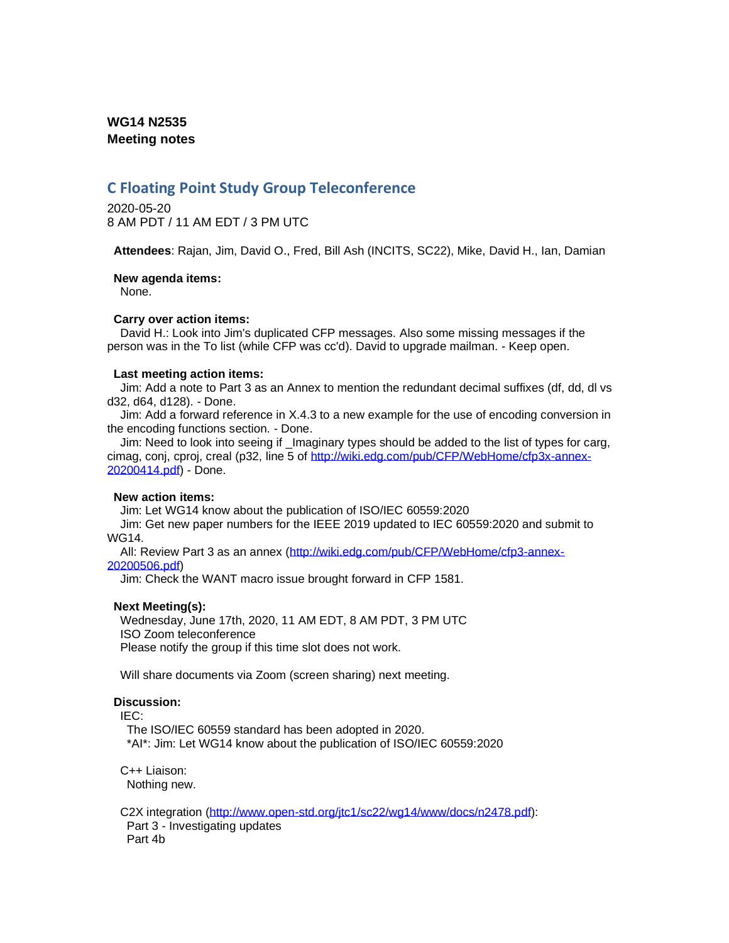## **WG14 N2535 Meeting notes**

# **C Floating Point Study Group Teleconference**

2020-05-20 8 AM PDT / 11 AM EDT / 3 PM UTC

**Attendees**: Rajan, Jim, David O., Fred, Bill Ash (INCITS, SC22), Mike, David H., Ian, Damian

**New agenda items:**

None.

## **Carry over action items:**

David H.: Look into Jim's duplicated CFP messages. Also some missing messages if the person was in the To list (while CFP was cc'd). David to upgrade mailman. - Keep open.

## **Last meeting action items:**

Jim: Add a note to Part 3 as an Annex to mention the redundant decimal suffixes (df, dd, dl vs d32, d64, d128). - Done.

Jim: Add a forward reference in X.4.3 to a new example for the use of encoding conversion in the encoding functions section. - Done.

Jim: Need to look into seeing if \_Imaginary types should be added to the list of types for carg, cimag, conj, cproj, creal (p32, line 5 of [http://wiki.edg.com/pub/CFP/WebHome/cfp3x-annex-](http://wiki.edg.com/pub/CFP/WebHome/cfp3x-annex-20200414.pdf)[20200414.pdf\)](http://wiki.edg.com/pub/CFP/WebHome/cfp3x-annex-20200414.pdf) - Done.

#### **New action items:**

Jim: Let WG14 know about the publication of ISO/IEC 60559:2020

Jim: Get new paper numbers for the IEEE 2019 updated to IEC 60559:2020 and submit to WG14.

All: Review Part 3 as an annex [\(http://wiki.edg.com/pub/CFP/WebHome/cfp3-annex-](http://wiki.edg.com/pub/CFP/WebHome/cfp3-annex-20200506.pdf)[20200506.pdf\)](http://wiki.edg.com/pub/CFP/WebHome/cfp3-annex-20200506.pdf)

Jim: Check the WANT macro issue brought forward in CFP 1581.

## **Next Meeting(s):**

Wednesday, June 17th, 2020, 11 AM EDT, 8 AM PDT, 3 PM UTC ISO Zoom teleconference Please notify the group if this time slot does not work.

Will share documents via Zoom (screen sharing) next meeting.

## **Discussion:**

IEC:

The ISO/IEC 60559 standard has been adopted in 2020. \*AI\*: Jim: Let WG14 know about the publication of ISO/IEC 60559:2020

C++ Liaison: Nothing new.

C2X integration [\(http://www.open-std.org/jtc1/sc22/wg14/www/docs/n2478.pdf\)](http://www.open-std.org/jtc1/sc22/wg14/www/docs/n2478.pdf): Part 3 - Investigating updates Part 4b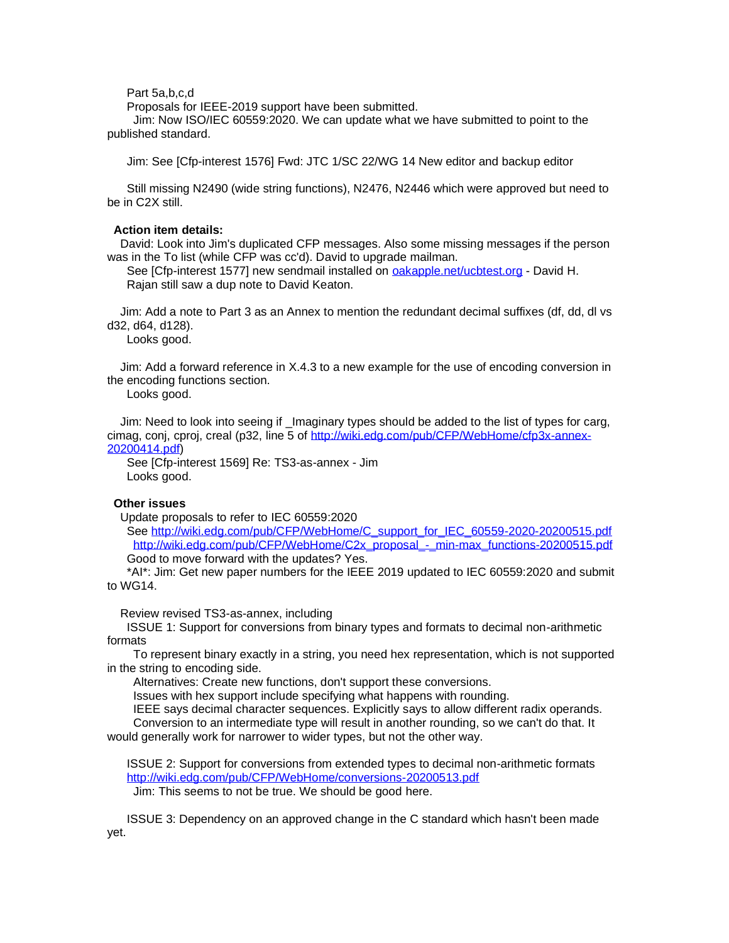Part 5a,b,c,d

Proposals for IEEE-2019 support have been submitted.

Jim: Now ISO/IEC 60559:2020. We can update what we have submitted to point to the published standard.

Jim: See [Cfp-interest 1576] Fwd: JTC 1/SC 22/WG 14 New editor and backup editor

Still missing N2490 (wide string functions), N2476, N2446 which were approved but need to be in C2X still.

#### **Action item details:**

David: Look into Jim's duplicated CFP messages. Also some missing messages if the person was in the To list (while CFP was cc'd). David to upgrade mailman.

See [Cfp-interest 1577] new sendmail installed on [oakapple.net/ucbtest.org](http://oakapple.net/ucbtest.org) - David H. Rajan still saw a dup note to David Keaton.

Jim: Add a note to Part 3 as an Annex to mention the redundant decimal suffixes (df, dd, dl vs d32, d64, d128).

Looks good.

Jim: Add a forward reference in X.4.3 to a new example for the use of encoding conversion in the encoding functions section.

Looks good.

Jim: Need to look into seeing if \_Imaginary types should be added to the list of types for carg, cimag, conj, cproj, creal (p32, line 5 of [http://wiki.edg.com/pub/CFP/WebHome/cfp3x-annex-](http://wiki.edg.com/pub/CFP/WebHome/cfp3x-annex-20200414.pdf)[20200414.pdf\)](http://wiki.edg.com/pub/CFP/WebHome/cfp3x-annex-20200414.pdf)

See [Cfp-interest 1569] Re: TS3-as-annex - Jim Looks good.

## **Other issues**

Update proposals to refer to IEC 60559:2020

See [http://wiki.edg.com/pub/CFP/WebHome/C\\_support\\_for\\_IEC\\_60559-2020-20200515.pdf](http://wiki.edg.com/pub/CFP/WebHome/C_support_for_IEC_60559-2020-20200515.pdf) [http://wiki.edg.com/pub/CFP/WebHome/C2x\\_proposal\\_-\\_min-max\\_functions-20200515.pdf](http://wiki.edg.com/pub/CFP/WebHome/C2x_proposal_-_min-max_functions-20200515.pdf) Good to move forward with the updates? Yes.

\*AI\*: Jim: Get new paper numbers for the IEEE 2019 updated to IEC 60559:2020 and submit to WG14.

Review revised TS3-as-annex, including

ISSUE 1: Support for conversions from binary types and formats to decimal non-arithmetic formats

To represent binary exactly in a string, you need hex representation, which is not supported in the string to encoding side.

Alternatives: Create new functions, don't support these conversions.

Issues with hex support include specifying what happens with rounding.

IEEE says decimal character sequences. Explicitly says to allow different radix operands. Conversion to an intermediate type will result in another rounding, so we can't do that. It would generally work for narrower to wider types, but not the other way.

ISSUE 2: Support for conversions from extended types to decimal non-arithmetic formats <http://wiki.edg.com/pub/CFP/WebHome/conversions-20200513.pdf> Jim: This seems to not be true. We should be good here.

ISSUE 3: Dependency on an approved change in the C standard which hasn't been made yet.